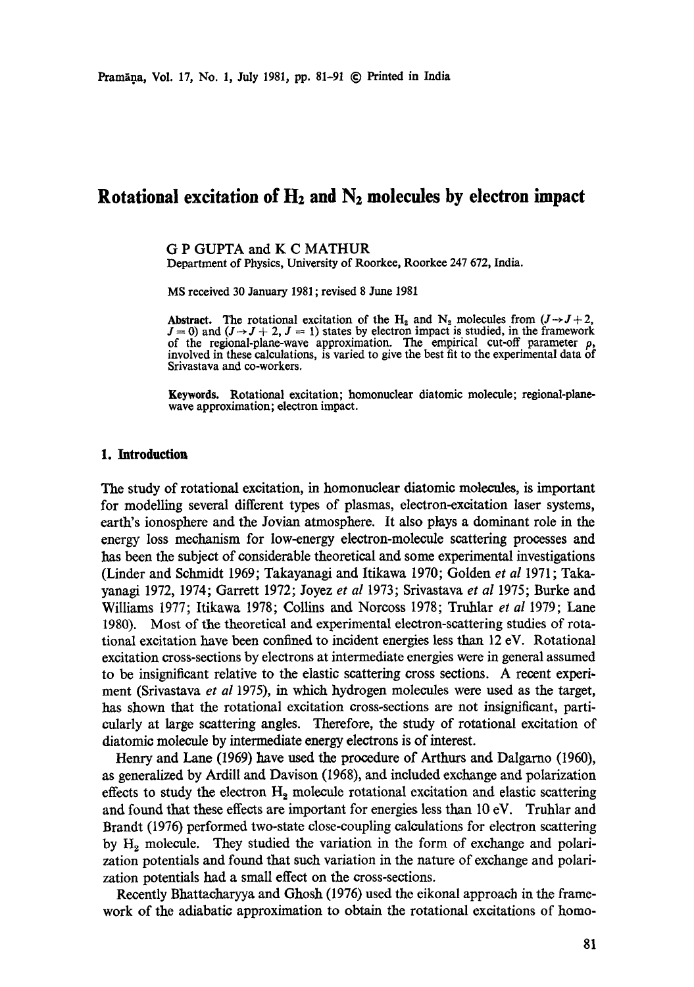# **Rotational excitation of H2 and N2 molecules by electron impact**

G P GUPTA and K C MATHUR Department of Physics, University of Roorkee, Roorkee 247 672, India.

MS received 30 January 1981 ; revised 8 June 1981

Abstract. The rotational excitation of the H<sub>2</sub> and N<sub>2</sub> molecules from  $(J \rightarrow J + 2,$  $J = 0$ ) and  $(J \rightarrow J + 2, J = 1)$  states by electron impact is studied, in the framework of the regional-plane-wave approximation. The empirical cut-off parameter  $\rho$ , involved in these calculations, is varied to give the best fit to the experimental data of Srivastava and co-workers.

Keywords. Rotational excitation; homonuclear diatomic molecule; regional-planewave approximation; electron impact.

#### **1. Introduction**

The study of rotational excitation, in homonuclear diatomic molecules, is important for modelling several different types of plasmas, electron-excitation laser systems, earth's ionosphere and the Jovian atmosphere. It also plays a dominant role in the energy loss mechanism for low-energy electron-molecule scattering processes and has been the subject of considerable theoretical and some experimental investigations (Linder and Schmidt 1969; Takayanagi and Itikawa 1970; Golden *et al* 1971; Takayanagi 1972, 1974; Garrett 1972; Joyez *et al* 1973; Srivastava *et al* 1975; Burke and Williams 1977; Itikawa 1978; Collins and Norcoss 1978; Truhlar *et a!* 1979; Lane 1980). Most of the theoretical and experimental electron-scattering studies of rotational excitation have been confined to incident energies less than 12 eV. Rotational excitation cross-sections by electrons at intermediate energies were in general assumed to be insignificant relative to the elastic scattering cross sections. A recent experiment (Srivastava *et al* 1975), in which hydrogen molecules were used as the target, has shown that the rotational excitation cross-sections are not insignificant, particularly at large scattering angles. Therefore, the study of rotational excitation of diatomic molecule by intermediate energy electrons is of interest.

Henry and Lane (1969) have used the procedure of Arthurs and Dalgarno (1960), as generalized by Ardill and Davison (1968), and included exchange and polarization effects to study the electron  $H_2$  molecule rotational excitation and elastic scattering and found that these effects are important for energies less than 10 eV. Truhlar and Brandt (1976) performed two-state close-coupling calculations for electron scattering by  $H<sub>2</sub>$  molecule. They studied the variation in the form of exchange and polarization potentials and found that such variation in the nature of exchange and polarization potentials had a small effect on the cross-sections.

Recently Bhattacharyya and Ghosh (1976) used the eikonal approach in the framework of the adiabatic approximation to obtain the rotational excitations of homo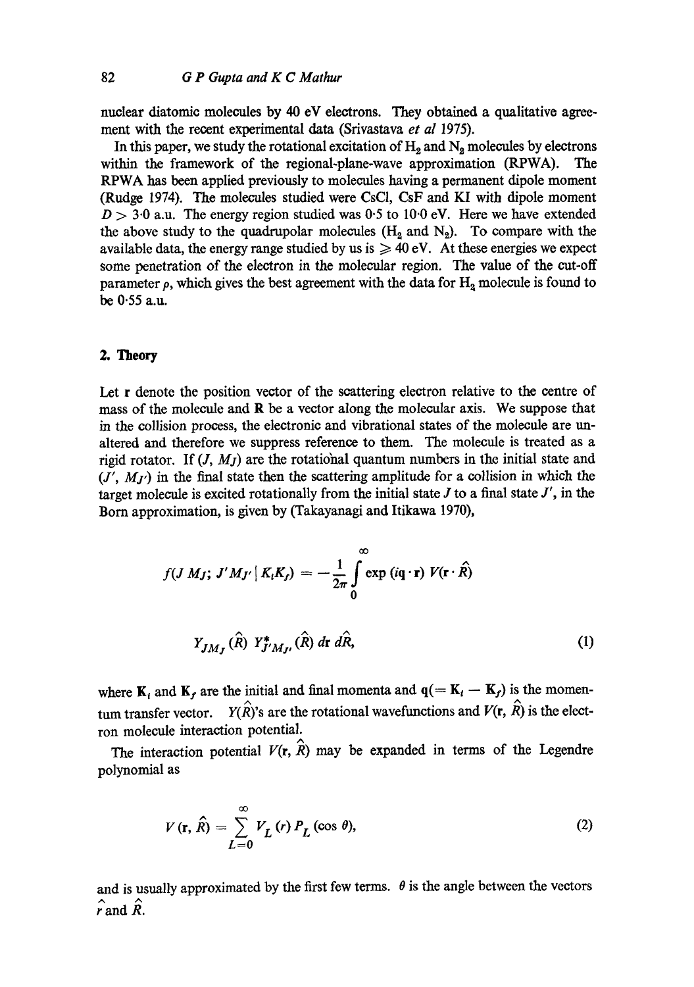nuclear diatomic molecules by 40 eV electrons. They obtained a qualitative agreemeat with the recent experimental data (Srivastava *et al* 1975).

In this paper, we study the rotational excitation of  $H_2$  and  $N_2$  molecules by electrons within the framework of the regional-plane-wave approximation (RPWA). The RPWA has been applied previously to molecules having a permanent dipole moment (Rudge 1974). The molecules studied were CsCI, CsF and KI with dipole moment  $D > 3.0$  a.u. The energy region studied was 0.5 to 10.0 eV. Here we have extended the above study to the quadrupolar molecules  $(H_2 \text{ and } N_2)$ . To compare with the available data, the energy range studied by us is  $\geq 40$  eV. At these energies we expect some penetration of the electron in the molecular region. The value of the cut-off parameter  $\rho$ , which gives the best agreement with the data for  $H_2$  molecule is found to be 0.55 a.u.

## **2. Theory**

Let r denote the position vector of the scattering electron relative to the centre of mass of the molecule and  $\bf{R}$  be a vector along the molecular axis. We suppose that in the collision process, the electronic and vibrational states of the molecule are unaltered and therefore we suppress reference to them. The molecule is treated as a rigid rotator. If  $(J, M<sub>I</sub>)$  are the rotational quantum numbers in the initial state and  $(J', M_{J'})$  in the final state then the scattering amplitude for a collision in which the target molecule is excited rotationally from the initial state  $J$  to a final state  $J'$ , in the Born approximation, is given by (Takayanagi and Itikawa 1970),

$$
f(J M_J; J'M_{J'} | K_i K_j) = -\frac{1}{2\pi} \int_0^\infty \exp(i\mathbf{q} \cdot \mathbf{r}) V(\mathbf{r} \cdot \hat{R})
$$

$$
Y_{JM_J}(\hat{R}) Y^*_{J'M_{J'}}(\hat{R}) d\mathbf{r} d\hat{R}, \qquad (1)
$$

where  $K_i$  and  $K_f$  are the initial and final momenta and  $q(= K_i - K_f)$  is the momentum transfer vector.  $Y(\hat{R})$ 's are the rotational wavefunctions and  $V(\mathbf{r}, \hat{R})$  is the electron molecule interaction potential.

The interaction potential  $V(r, \hat{R})$  may be expanded in terms of the Legendre polynomial as

$$
V(\mathbf{r}, \hat{R}) = \sum_{L=0}^{\infty} V_L(r) P_L(\cos \theta),
$$
 (2)

and is usually approximated by the first few terms.  $\theta$  is the angle between the vectors  $\hat{r}$  and  $\hat{R}$ .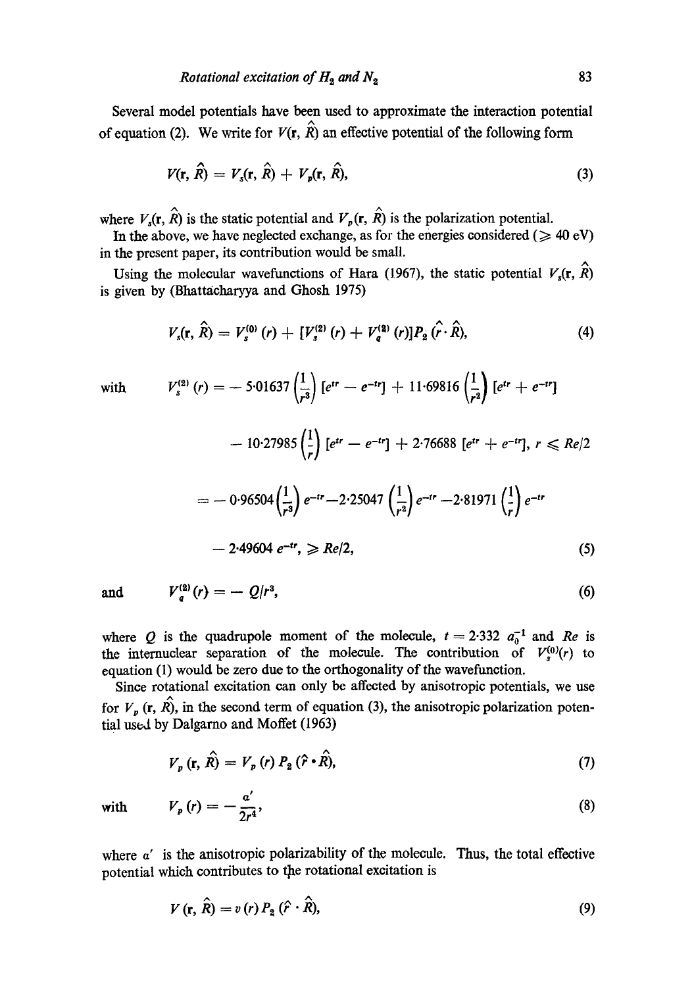Several model potentials have been used to approximate the interaction potential of equation (2). We write for  $V(\mathbf{r},\hat{R})$  an effective potential of the following form

$$
V(\mathbf{r}, \hat{R}) = V_s(\mathbf{r}, \hat{R}) + V_p(\mathbf{r}, \hat{R}), \qquad (3)
$$

where  $V_s(\mathbf{r}, \hat{R})$  is the static potential and  $V_p(\mathbf{r}, \hat{R})$  is the polarization potential.

In the above, we have neglected exchange, as for the energies considered ( $\geq 40$  eV) in the present paper, its contribution would be small.

Using the molecular wavefunctions of Hara (1967), the static potential  $V_s(\mathbf{r}, \hat{R})$ is given by (Bhattacharyya and Ghosh 1975)

$$
V_s(\mathbf{r},\,\hat{R})=V_s^{(0)}(r)+[V_s^{(2)}(r)+V_q^{(2)}(r)]P_2(\hat{r}\cdot\hat{R}),\qquad \qquad (4)
$$

with 
$$
V_s^{(2)}(r) = -5.01637 \left(\frac{1}{r^3}\right) \left[e^{tr} - e^{-tr}\right] + 11.69816 \left(\frac{1}{r^2}\right) \left[e^{tr} + e^{-tr}\right]
$$

$$
- 10.27985 \left(\frac{1}{r}\right) \left[e^{tr} - e^{-tr}\right] + 2.76688 \left[e^{tr} + e^{-tr}\right], r \le Re/2
$$

$$
= -0.96504 \left(\frac{1}{r^3}\right) e^{-tr} - 2.25047 \left(\frac{1}{r^2}\right) e^{-tr} - 2.81971 \left(\frac{1}{r}\right) e^{-tr}
$$

$$
- 2.49604 \ e^{-tr}, \ge Re/2,
$$
(5)

and  $V_{a}^{(2)}(r) = -Q/r^3$ , (6)

where Q is the quadrupole moment of the molecule,  $t = 2.332 a_0^{-1}$  and *Re* is the internuclear separation of the molecule. The contribution of  $V^{(0)}(r)$  to equation (1) would be zero due to the orthogonality of the wavefunction.

Since rotational excitation can only be affected by anisotropic potentials, we use for  $V_p$  (r,  $\hat{R}$ ), in the second term of equation (3), the anisotropic polarization potential used by Dalgarno and Moffet (1963)

$$
V_p(\mathbf{r}, \hat{R}) = V_p(r) P_2(\hat{r} \cdot \hat{R}), \tag{7}
$$

$$
V_p(r) = -\frac{a'}{2r^4},\tag{8}
$$

where  $\alpha'$  is the anisotropic polarizability of the molecule. Thus, the total effective potential which contributes to the rotational excitation is

$$
V(\mathbf{r}, \hat{R}) = v(r) P_2(\hat{r} \cdot \hat{R}), \tag{9}
$$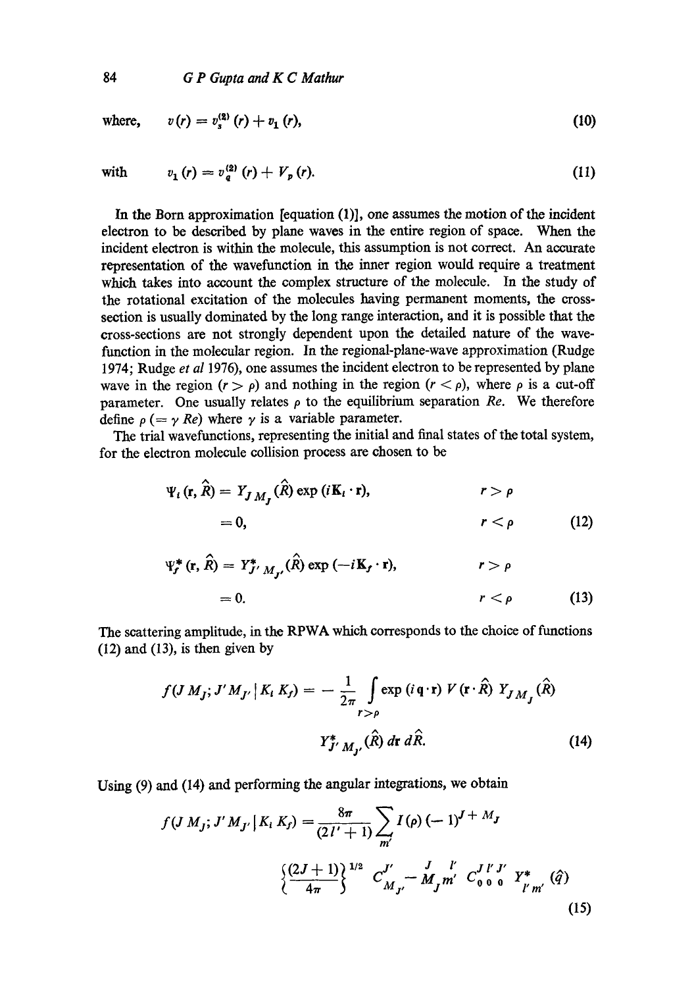where,  $v(r) = v_*^{(2)}(r) + v_1(r)$ , (10)

$$
(\mathcal{M}_\mathcal{A},\mathcal{M}_\mathcal{A},\mathcal{M}_\mathcal{A},\mathcal{M}_\mathcal{A},\mathcal{M}_\mathcal{A},\mathcal{M}_\mathcal{A},\mathcal{M}_\mathcal{A},\mathcal{M}_\mathcal{A},\mathcal{M}_\mathcal{A},\mathcal{M}_\mathcal{A},\mathcal{M}_\mathcal{A},\mathcal{M}_\mathcal{A},\mathcal{M}_\mathcal{A},\mathcal{M}_\mathcal{A},\mathcal{M}_\mathcal{A},\mathcal{M}_\mathcal{A},\mathcal{M}_\mathcal{A},\mathcal{M}_\mathcal{A},\mathcal{M}_\mathcal{A},\mathcal{M}_\mathcal{A},\mathcal{M}_\mathcal{A},\mathcal{M}_\mathcal{A},\mathcal{M}_\mathcal{A},\mathcal{M}_\mathcal{A},\mathcal{M}_\mathcal{A},\mathcal{M}_\mathcal{A},\mathcal{M}_\mathcal{A},\mathcal{M}_\mathcal{A},\mathcal{M}_\mathcal{A},\mathcal{M}_\mathcal{A},\mathcal{M}_\mathcal{A},\mathcal{M}_\mathcal{A},\mathcal{M}_\mathcal{A},\mathcal{M}_\mathcal{A},\mathcal{M}_\mathcal{A},\mathcal{M}_\mathcal{A},\mathcal{M}_\mathcal{A},\mathcal{M}_\mathcal{A},\mathcal{M}_\mathcal{A},\mathcal{M}_\mathcal{A},\mathcal{M}_\mathcal{A},\mathcal{M}_\mathcal{A},\mathcal{M}_\mathcal{A},\mathcal{M}_\mathcal{A},\mathcal{M}_\mathcal{A},\mathcal{M}_\mathcal{A},\mathcal{M}_\mathcal{A},\mathcal{M}_\mathcal{A},\mathcal{M}_\mathcal{A},\mathcal{M}_\mathcal{A},\mathcal{M}_\mathcal{A},\mathcal{M}_\mathcal{A},\mathcal{M}_\mathcal{A},\mathcal{M}_\mathcal{A},\mathcal{M}_\mathcal{A},\mathcal{M}_\mathcal{A},\mathcal{M}_\mathcal{A},\mathcal{M}_\mathcal{A},\mathcal{M}_\mathcal{A},\mathcal{M}_\mathcal{A},\mathcal{M}_\mathcal{A},\mathcal{M}_\mathcal{A},\mathcal{M}_\mathcal{A},\mathcal
$$

with  $v_1(r) = v_a^{(2)}(r) + V_p(r).$  (11)

In the Born approximation [equation (1)], one assumes the motion of the incident electron to be described by plane waves in the entire region of space. When the incident electron is within the molecule, this assumption is not correct. An accurate representation of the wavefunction in the inner region would require a treatment which takes into account the complex structure of the molecule. In the study of the rotational excitation of the molecules having permanent moments, the crosssection is usually dominated by the long range interaction, and it is possible that the cross-sections are not strongly dependent upon the detailed nature of the wavefunction in the molecular region. In the regional-plane-wave approximation (Rudge 1974; Rudge *et al* 1976), one assumes the incident electron to be represented by plane wave in the region  $(r > \rho)$  and nothing in the region  $(r < \rho)$ , where  $\rho$  is a cut-off parameter. One usually relates  $\rho$  to the equilibrium separation *Re*. We therefore define  $\rho (= \gamma Re)$  where  $\gamma$  is a variable parameter.

The trial wavefunctions, representing the initial and final states of the total system, for the electron molecule collision process are chosen to be

$$
\Psi_{i}(\mathbf{r}, \hat{R}) = Y_{J M_{f}}(\hat{R}) \exp(i\mathbf{K}_{i} \cdot \mathbf{r}), \qquad r > \rho
$$
  
= 0, \qquad r < \rho \qquad (12)

$$
\Psi_{r}^{*}(\mathbf{r}, \hat{R}) = Y_{J'}^{*} M_{J'}(\hat{R}) \exp(-i\mathbf{K}_{f} \cdot \mathbf{r}), \qquad \qquad r > \rho
$$
  
= 0, \qquad \qquad r < \rho \qquad (13)

The scattering amplitude, in the RPWA which corresponds to the choice of functions (12) and (13), is then given by

$$
f(J M_J; J'M_{J'} | K_t K_f) = -\frac{1}{2\pi} \int_{r>\rho} \exp(i\mathbf{q}\cdot\mathbf{r}) V(\mathbf{r}\cdot\hat{\mathbf{R}}) Y_{J M_J}(\hat{\mathbf{R}})
$$

$$
Y_{J'M_{J'}}^*(\hat{\mathbf{R}}) d\mathbf{r} d\hat{\mathbf{R}}.
$$
(14)

Using (9) and (14) and performing the angular integrations, we obtain

$$
f(J M_j; J' M_{J'} | K_i K_f) = \frac{8\pi}{(2I' + 1)} \sum_{m'} I(\rho) (-1)^{J + M_J}
$$
  

$$
\left\{ \frac{(2J + 1)}{4\pi} \right\}^{1/2} C_{M_{J'}}^{J'} - \frac{J}{M_J m'} \frac{I'}{C_{0 0 0}} C_{\rho m'}^{J' J'} K_{l'm'}^* (\hat{q})
$$
  
(15)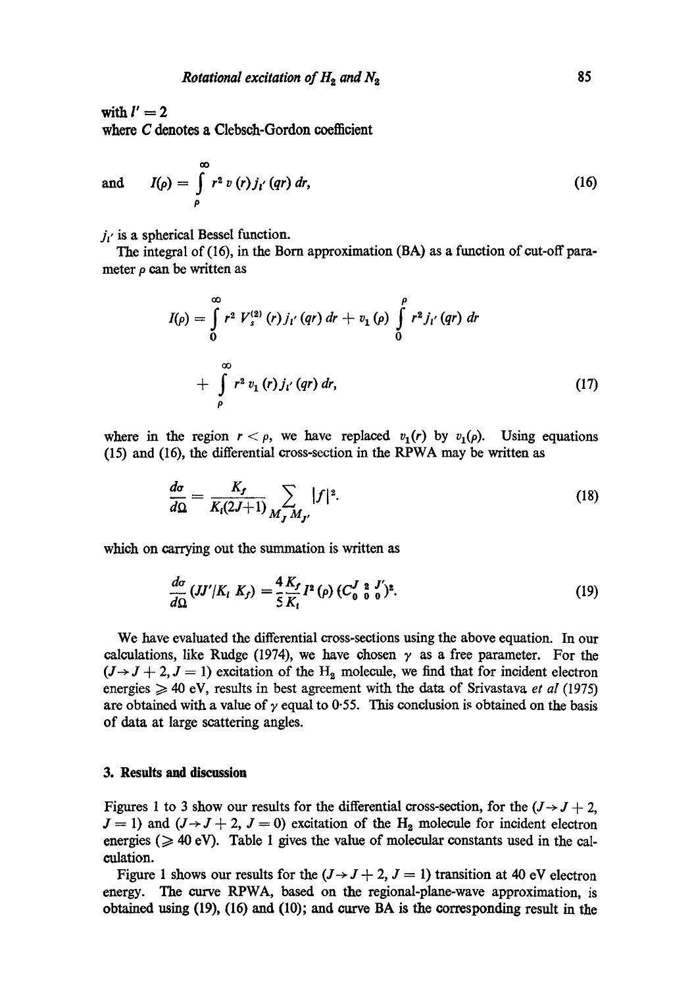with  $l' = 2$ where C denotes a Clebsch-Gordon coefficient

and 
$$
I(\rho) = \int_{\rho}^{\infty} r^2 v(r) j_{i'}(qr) dr,
$$
 (16)

 $j_{i'}$  is a spherical Bessel function.

The integral of (16), in the Born approximation (BA) as a function of cut-off parameter  $\rho$  can be written as

$$
I(\rho) = \int_{0}^{\infty} r^{2} V_{s}^{(2)}(r) j_{1'}(qr) dr + v_{1}(\rho) \int_{0}^{\rho} r^{2} j_{1'}(qr) dr + \int_{\rho}^{\infty} r^{2} v_{1}(r) j_{1'}(qr) dr,
$$
 (17)

where in the region  $r < \rho$ , we have replaced  $v_1(r)$  by  $v_1(\rho)$ . Using equations (15) and (16), the differential cross-section in the RPWA may be written as

$$
\frac{d\sigma}{d\Omega} = \frac{K_f}{K_l(2J+1)} \sum_{M_f M_{f'}} |f|^2.
$$
 (18)

which on carrying out the summation is written as

$$
\frac{d\sigma}{d\Omega}(JJ'/K_i K_j) = \frac{4}{5}\frac{K_f}{K_i}I^2(\rho)(C_0^J \frac{2}{\rho} \frac{J'}{0})^2.
$$
\n(19)

We have evaluated the differential cross-sections using the above equation. In our calculations, like Rudge (1974), we have chosen  $\gamma$  as a free parameter. For the  $(J \rightarrow J + 2, J = 1)$  excitation of the H<sub>2</sub> molecule, we find that for incident electron energies  $\geq 40$  eV, results in best agreement with the data of Srivastava *et al* (1975) are obtained with a value of  $\gamma$  equal to 0.55. This conclusion is obtained on the basis of data at large scattering angles.

## **3. Results and discussion**

Figures 1 to 3 show our results for the differential cross-section, for the  $(J \rightarrow J + 2, J \rightarrow J)$  $J = 1$ ) and  $(J \rightarrow J + 2, J = 0)$  excitation of the H<sub>2</sub> molecule for incident electron energies ( $\geq 40$  eV). Table 1 gives the value of molecular constants used in the calculation.

Figure 1 shows our results for the  $(J \rightarrow J + 2, J = 1)$  transition at 40 eV electron energy. The curve RPWA, based on the regional-plane-wave approximation, is obtained using (19), (16) and (10); and curve BA is the corresponding result in the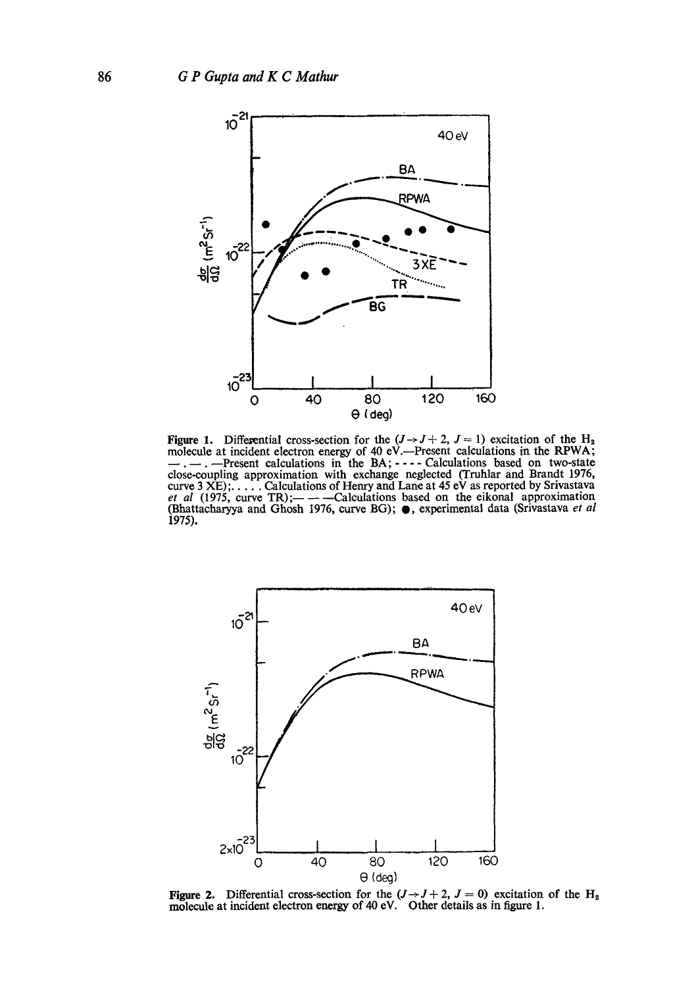

Figure 1. Differential cross-section for the  $(J \rightarrow J + 2, J = 1)$  excitation of the H<sub>2</sub> molecule at incident electron energy of 40 eV.--Present calculations in the RPWA; --.--Present calculations in the BA; .... Calculations based on two-state close-coupling approximation with exchange neglected (Truhlar and Brandt 1976, curve 3 XE); .... Calculations of Henry and Lane at 45 eV as reported by Srivastava<br>*et al* (1975, curve TR);— — — Calculations based on the eikonal approximation (Bhattacharyya and Ghosh 1976, curve BG);  $\bullet$ , experimental data (Srivastava et al 1975).



Figure **2.**  molecule at incident electron energy of 40 eV. Differential cross-section for the  $(J \rightarrow J + 2, J = 0)$  excitation of the H<sub>2</sub> incident electron energy of 40 eV. Other details as in figure 1.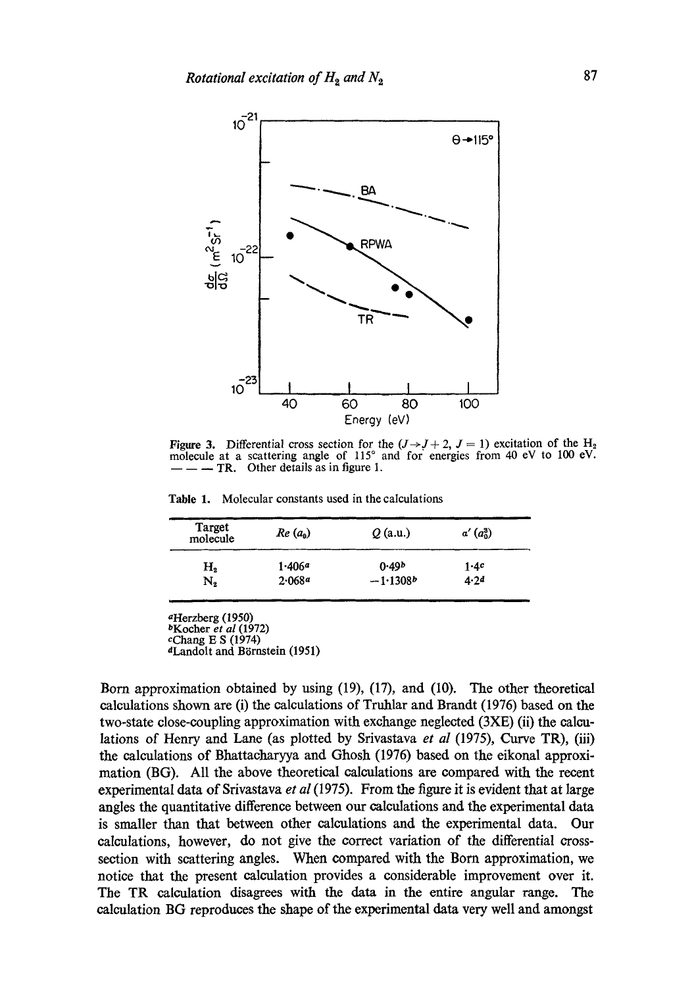

Figure 3. Differential cross section for the  $(J \rightarrow J + 2, J = 1)$  excitation of the H<sub>2</sub> molecule at a scattering angle of 115° and for energies from 40 eV to 100 eV. - **TR.** Other details as in figure 1.

Table 1. Molecular constants used in the calculations

| Target<br>molecule | $Re(a_0)$ | $Q$ (a.u.)        | $a'\left(a_0^3\right)$ |
|--------------------|-----------|-------------------|------------------------|
| Н,                 | 1.406a    | 0.49 <sup>b</sup> | 1.4c                   |
| N,                 | 2.068a    | $-1.1308b$        | 4.24                   |

aHerzberg (1950)

<sup>d</sup>Landolt and Börnstein (1951)

Born approximation obtained by using (19), (17), and (10). The other theoretical calculations shown are (i) the calculations of Truhlar and Brandt (1976) based on the two-state close-coupling approximation with exchange neglected (3XE) (ii) the calculations of Henry and Lane (as plotted by Srivastava *et al* (1975), Curve TR), (iii) the calculations of Bhattacharyya and Ghosh (1976) based on the eikonal approximation (BG). All the above theoretical calculations are compared with the recent experimental data of Srivastava *et al* (1975). From the figure it is evident that at large angles the quantitative difference between our calculations and the experimental data is smaller than that between other calculations and the experimental data. Our calculations, however, do not give the correct variation of the differential crosssection with scattering angles. When compared with the Born approximation, we notice that the present calculation provides a considerable improvement over it. The TR calculation disagrees with the data in the entire angular range. The calculation BG reproduces the shape of the experimental data very well and amongst

bKocher *et al* (1972) cChang E S (1974)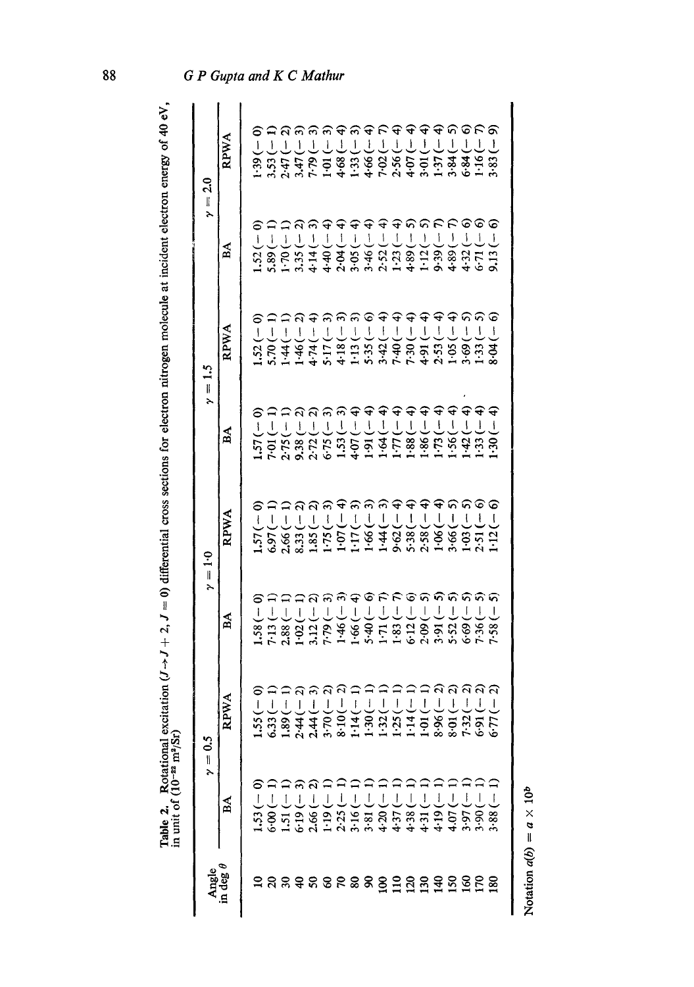| ֚֚֚֬                 |                  |
|----------------------|------------------|
|                      |                  |
|                      |                  |
|                      |                  |
|                      |                  |
|                      |                  |
|                      |                  |
| i                    |                  |
|                      |                  |
|                      |                  |
|                      |                  |
|                      |                  |
|                      |                  |
|                      |                  |
|                      |                  |
|                      |                  |
|                      |                  |
|                      |                  |
|                      |                  |
|                      |                  |
|                      |                  |
|                      |                  |
| ハイオン=つつ              |                  |
|                      |                  |
|                      |                  |
|                      |                  |
| 1                    |                  |
| $\ddot{\phantom{0}}$ |                  |
|                      |                  |
|                      |                  |
|                      | ī<br>Í           |
|                      | Ī                |
|                      | i                |
|                      | Ĩ                |
|                      |                  |
|                      | i<br>;<br>;<br>Ĭ |
| ׇ֚֬                  | ļ                |

|                          |                                    | $\gamma=0.5$                                                                                                                                             | $\gamma = 1.0$                                                                                                                                                                                                                                                                                                                                                                                                         |                                                 |                                                              | $\gamma = 1.5$                                                                                 |                                                   | $\gamma = 2.0$                                 |
|--------------------------|------------------------------------|----------------------------------------------------------------------------------------------------------------------------------------------------------|------------------------------------------------------------------------------------------------------------------------------------------------------------------------------------------------------------------------------------------------------------------------------------------------------------------------------------------------------------------------------------------------------------------------|-------------------------------------------------|--------------------------------------------------------------|------------------------------------------------------------------------------------------------|---------------------------------------------------|------------------------------------------------|
| Angle<br>in deg $\theta$ | ΒÁ                                 | RPWA                                                                                                                                                     | ВÁ                                                                                                                                                                                                                                                                                                                                                                                                                     | RPWA                                            | ΑÁ                                                           | RPWA                                                                                           | BA                                                | RPWA                                           |
|                          | ට<br>$1.53(-$                      | ට<br>I                                                                                                                                                   |                                                                                                                                                                                                                                                                                                                                                                                                                        | $\widehat{\phantom{a}}$<br>1.57(                | $\widehat{\phantom{a}}$<br>1.57(                             | $1.52(-0)$                                                                                     | ට                                                 | ට<br>1.39(                                     |
|                          | —) 00.∂                            | $\overline{1}$<br>1.55 (6.31 (6.31 )<br>6.33 (6.31 )<br>6.33 (6.31 )<br>6.31 (6.31 )<br>6.31 (6.31 )<br>6.31 )<br>6.31 (6.31 )<br>6.31 )<br>1.55 (6.31 ) | $\begin{array}{l} 1.58 (-0) \\ 7.13 (-1) \\ 2.38 (-1) \\ 1.02 (-1) \\ 1.02 (-2) \\ 3.12 (-3) \\ 7.79 (-3) \end{array}$                                                                                                                                                                                                                                                                                                 | $\cap$<br>J<br>6.97(                            | Ī<br>7.01(                                                   | $5.70(-$                                                                                       | $1.52(-$                                          | $\mathsf L$<br>3.53(                           |
|                          |                                    | I                                                                                                                                                        |                                                                                                                                                                                                                                                                                                                                                                                                                        | $2.66(-$                                        | 2.75(                                                        | $1.44(-$                                                                                       | $1.70(-$                                          | $\frac{1}{\cdot}$<br>2.47(                     |
|                          | $\frac{5}{19}$                     | I                                                                                                                                                        |                                                                                                                                                                                                                                                                                                                                                                                                                        | ନ ନ<br>T<br>8.33(                               | 9.38 <sub>0</sub>                                            | $1.46(-$                                                                                       | ନ<br>$3.35(-$                                     | J<br>3.47(                                     |
|                          | <b>S</b>                           | l                                                                                                                                                        |                                                                                                                                                                                                                                                                                                                                                                                                                        | $\overline{\mathbf{I}}$<br>1.85(                | 2.72                                                         |                                                                                                | ଲ<br>l<br>4.14(                                   | er.                                            |
|                          | $\frac{1}{2}$                      | ļ                                                                                                                                                        |                                                                                                                                                                                                                                                                                                                                                                                                                        | ļ<br>1.75(                                      | 6.75(                                                        | $\overline{\phantom{a}}$                                                                       | $\overline{1}$<br>$-4.40($                        | ┚<br>Ξ,                                        |
|                          | 2.25(                              |                                                                                                                                                          | $\overline{\phantom{a}}$<br>1.46(                                                                                                                                                                                                                                                                                                                                                                                      | $\overline{\phantom{a}}$<br>1.07(               | $\overline{1}$<br>1.53(                                      | $\overline{1}$                                                                                 | $\overline{1}$<br>2.04(                           | L<br>4.68(                                     |
|                          | $3.16(-$                           | Į                                                                                                                                                        | $\vert$<br>1.66(                                                                                                                                                                                                                                                                                                                                                                                                       | ్<br>$\overline{1}$<br>1.17(                    | L<br>4.07(                                                   | $\overline{1}$                                                                                 | $\mathbf{I}$<br>3.05(                             | $1.33 (-$<br>$4.66 (-$                         |
|                          | $-181$<br>$-163$<br>$+37$<br>$+37$ | $\mathbf{I}$                                                                                                                                             | ତ<br>$\overline{\phantom{a}}$<br>$\frac{40}{1.71}$                                                                                                                                                                                                                                                                                                                                                                     | $\overline{1}$<br>1.66(                         | $\triangleq \triangleq$<br>$\overline{\phantom{a}}$<br>1.91( | ତ<br>j                                                                                         | $\widehat{\mathbf{f}}$<br>$\overline{1}$<br>3.46( | ₽                                              |
|                          |                                    | $\overline{1}$                                                                                                                                           | F<br>$\overline{1}$                                                                                                                                                                                                                                                                                                                                                                                                    | କଳକ<br>ļ<br>1.44(                               | $\mathbf{I}$<br>$\frac{4}{1}$                                | $\mathsf{I}$                                                                                   | ₽<br>$\overline{\phantom{a}}$<br>2.52(            | ೯                                              |
|                          |                                    | I                                                                                                                                                        | $\overline{1}$<br>$1.83$<br>$6.12$<br>$2.99$                                                                                                                                                                                                                                                                                                                                                                           | ļ<br>9.62(                                      | $\overline{\phantom{a}}$<br>$\frac{1}{2}$                    | $\overline{\phantom{a}}$<br>$4.74$<br>$5.17$<br>$6.13$<br>$6.13$<br>$7.35$<br>$7.42$<br>$7.42$ | $\triangleq$<br>$1.23(-$                          | $7.02 (-$<br>2.56 (-                           |
|                          | 4.38(                              | $\overline{\phantom{a}}$                                                                                                                                 | ଚ<br>$\overline{\mathcal{L}}$                                                                                                                                                                                                                                                                                                                                                                                          | $\widehat{\mathbf{f}}$<br>$\mathbf{I}$<br>5.38( | $\widehat{\mathbf{f}}$<br>$\overline{\mathbf{I}}$<br>.88(    | $\overline{\mathbf{r}}$<br>7.30(                                                               | $\overline{1}$<br>4.89(                           | क क<br>$\overline{1}$                          |
|                          | J<br>4.31(                         | I                                                                                                                                                        | କ<br>$\vert$                                                                                                                                                                                                                                                                                                                                                                                                           | F<br>ļ<br>2.58(                                 | $\widehat{\mathbf{f}}$<br>I<br>$-38.1$                       | $\overline{1}$<br>4.91(                                                                        | <b>ARR</b><br>$\mid$<br>$1.12$<br>9.39            | $\widehat{\mathbf{f}}$<br>$\mathbf{I}$<br>3.01 |
|                          | 4.07                               |                                                                                                                                                          | $\overline{1}$                                                                                                                                                                                                                                                                                                                                                                                                         | $\overline{\mathsf{I}}$<br>1.06(                | €<br>$\overline{1}$<br>1.73(                                 | $\mathsf{I}$<br>2.53(                                                                          | $\frac{1}{2}$                                     | $\widehat{+}$<br>┚<br>1.37                     |
|                          |                                    | I                                                                                                                                                        | ନନନନ<br>$\overline{1}$<br>$3.91($<br>$5.52($                                                                                                                                                                                                                                                                                                                                                                           | କ ନ<br>ļ<br>3.66(                               | ₽<br>$\vert$<br>$\frac{56}{3}$                               | $\mathbf{I}$<br>1.05(                                                                          | ļ<br>4.89(                                        | ଜ<br>$3.84(-$                                  |
|                          | 3.97                               |                                                                                                                                                          | $\mathbf{I}$<br>6.69                                                                                                                                                                                                                                                                                                                                                                                                   | ļ<br>$\frac{5}{1}$                              | ډ<br>ļ<br>$-42($                                             | I<br>3.69(                                                                                     | $\overline{1}$<br>4.32(                           | ତ<br>$-1846$                                   |
|                          | 3.90(                              |                                                                                                                                                          | Į<br>7.36(                                                                                                                                                                                                                                                                                                                                                                                                             | ନ୍ତ<br>I<br>2.51(                               | €<br>1.33(                                                   | I<br>1.33(                                                                                     | ଚ ତ<br>$-117.5$                                   | €<br>ل<br>1.16(                                |
|                          | 88.6                               | I                                                                                                                                                        | $\begin{array}{c} \rule{0pt}{2ex} \rule{0pt}{2ex} \rule{0pt}{2ex} \rule{0pt}{2ex} \rule{0pt}{2ex} \rule{0pt}{2ex} \rule{0pt}{2ex} \rule{0pt}{2ex} \rule{0pt}{2ex} \rule{0pt}{2ex} \rule{0pt}{2ex} \rule{0pt}{2ex} \rule{0pt}{2ex} \rule{0pt}{2ex} \rule{0pt}{2ex} \rule{0pt}{2ex} \rule{0pt}{2ex} \rule{0pt}{2ex} \rule{0pt}{2ex} \rule{0pt}{2ex} \rule{0pt}{2ex} \rule{0pt}{2ex} \rule{0pt}{2ex} \rule{0pt}{$<br>7.58 | G<br>ţ<br>$\frac{1}{2}$                         | ډ<br>$\overline{1}$<br>$\overline{30}$                       | $\big\}$<br>8.04                                                                               | ෙ<br>2.13(                                        | ெ<br>3.83                                      |
|                          |                                    |                                                                                                                                                          |                                                                                                                                                                                                                                                                                                                                                                                                                        |                                                 |                                                              |                                                                                                |                                                   |                                                |

Notation  $a(b) = a \times 10^b$ Notation  $a(b) = a \times 10^b$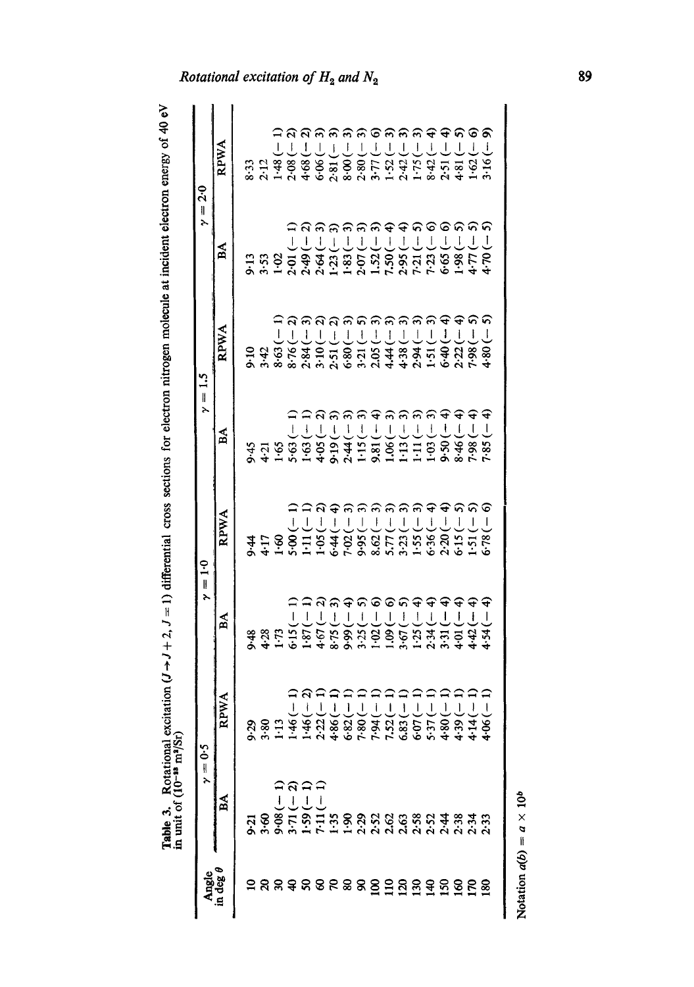| י<br>ו                                           |
|--------------------------------------------------|
|                                                  |
| j                                                |
|                                                  |
|                                                  |
| ֦֦֦֧֢ׅ֦֧ׅ֦֧ׅ֦֧ׅ֦֧ׅ֦֦֧֚֚֚֚֚֡֡֡֘֓֡֜֓֡֜֓֓֡֜֓֡֜֓֡֓֡֓ |
|                                                  |
|                                                  |
|                                                  |
|                                                  |
|                                                  |
|                                                  |
| $\overline{\mathbb{I}}$                          |
|                                                  |
| 1                                                |
| J                                                |
|                                                  |
| š<br>S<br>č                                      |
| 5<br>י                                           |
| $\sin^2$<br>i<br>i<br>ł                          |
| l<br>ı                                           |
| j<br><b>Contract</b>                             |
| able 3.<br>i                                     |

| <b>RPWA</b><br>8.63(<br>8.76(<br>2.84(<br>2.94<br>3.10(<br>6.40<br>7.98<br>4.44<br>2.22<br>2.05<br>4.38<br>1.51<br>2:51<br>6.80<br>9.10<br>$3-21$<br>3.42<br>$\gamma = 1.5$<br>ີລ<br>$\triangleq \triangleq$<br>$\widehat{\mathbf{f}}$<br>$\widehat{\mathcal{E}}$<br>ခ<br>€<br>$3.45$<br>$4.75$<br>$5.63$<br>$-1$<br>$-1$<br>$-1$<br>$-1$<br>$-1$<br>$-1$<br>$-1$<br>$-1$<br>$-1$<br>$-1$<br>$-1$<br>$-1$<br>$-1$<br>$-1$<br>$-1$<br>$-1$<br>$-1$<br>$-1$<br>$-1$<br>J<br>$\mathfrak l$<br>$\overline{1}$<br>$\mathbf{I}$<br>$\begin{array}{c} \begin{array}{c} \end{array} \end{array}$<br>$\overline{\mathbf{I}}$<br>$\overline{1}$<br>$\overline{1}$<br>$\overline{1}$<br>$\overline{1}$<br>A<br>9.50(<br>7.98(<br>$2.44$<br>$1.15$<br>$1.15$<br>$1.15$<br>$1.15$<br>$1.15$<br>$1.15$<br>$1.15$<br>8.46(<br>$\widehat{\mathbf{c}}$<br>$\widehat{\mathbf{f}}$<br>$\widehat{\bm{r}}$<br>$\widehat{\bm{r}}$<br>$\widehat{\mathcal{E}}$<br>コ<br>し<br>RPWA<br>$\mathbf{I}$<br>$6.36(-$<br>2.20 (-<br>5:15<br>1.51<br>$\gamma = 1.0$<br>99999 |                                         |
|--------------------------------------------------------------------------------------------------------------------------------------------------------------------------------------------------------------------------------------------------------------------------------------------------------------------------------------------------------------------------------------------------------------------------------------------------------------------------------------------------------------------------------------------------------------------------------------------------------------------------------------------------------------------------------------------------------------------------------------------------------------------------------------------------------------------------------------------------------------------------------------------------------------------------------------------------------------------------------------------------------------------------------------------|-----------------------------------------|
|                                                                                                                                                                                                                                                                                                                                                                                                                                                                                                                                                                                                                                                                                                                                                                                                                                                                                                                                                                                                                                            |                                         |
|                                                                                                                                                                                                                                                                                                                                                                                                                                                                                                                                                                                                                                                                                                                                                                                                                                                                                                                                                                                                                                            | ΒÁ                                      |
|                                                                                                                                                                                                                                                                                                                                                                                                                                                                                                                                                                                                                                                                                                                                                                                                                                                                                                                                                                                                                                            |                                         |
|                                                                                                                                                                                                                                                                                                                                                                                                                                                                                                                                                                                                                                                                                                                                                                                                                                                                                                                                                                                                                                            | 3355<br>3455                            |
|                                                                                                                                                                                                                                                                                                                                                                                                                                                                                                                                                                                                                                                                                                                                                                                                                                                                                                                                                                                                                                            |                                         |
|                                                                                                                                                                                                                                                                                                                                                                                                                                                                                                                                                                                                                                                                                                                                                                                                                                                                                                                                                                                                                                            | 6.15(                                   |
|                                                                                                                                                                                                                                                                                                                                                                                                                                                                                                                                                                                                                                                                                                                                                                                                                                                                                                                                                                                                                                            | $\overline{1}$<br>1.87(                 |
|                                                                                                                                                                                                                                                                                                                                                                                                                                                                                                                                                                                                                                                                                                                                                                                                                                                                                                                                                                                                                                            | 4.67(                                   |
|                                                                                                                                                                                                                                                                                                                                                                                                                                                                                                                                                                                                                                                                                                                                                                                                                                                                                                                                                                                                                                            | $\begin{array}{c} \end{array}$<br>8.75( |
|                                                                                                                                                                                                                                                                                                                                                                                                                                                                                                                                                                                                                                                                                                                                                                                                                                                                                                                                                                                                                                            | $\overline{\phantom{a}}$<br>9.99        |
|                                                                                                                                                                                                                                                                                                                                                                                                                                                                                                                                                                                                                                                                                                                                                                                                                                                                                                                                                                                                                                            | 5)<br>$\overline{\phantom{a}}$<br>3.25( |
|                                                                                                                                                                                                                                                                                                                                                                                                                                                                                                                                                                                                                                                                                                                                                                                                                                                                                                                                                                                                                                            | 1.02(                                   |
|                                                                                                                                                                                                                                                                                                                                                                                                                                                                                                                                                                                                                                                                                                                                                                                                                                                                                                                                                                                                                                            | ଚତନ<br>$\overline{1}$<br>1.09(          |
|                                                                                                                                                                                                                                                                                                                                                                                                                                                                                                                                                                                                                                                                                                                                                                                                                                                                                                                                                                                                                                            | $\begin{array}{c} \end{array}$<br>3.67( |
|                                                                                                                                                                                                                                                                                                                                                                                                                                                                                                                                                                                                                                                                                                                                                                                                                                                                                                                                                                                                                                            | $\hat{+}$<br>$\bigg\}$<br>1:25          |
|                                                                                                                                                                                                                                                                                                                                                                                                                                                                                                                                                                                                                                                                                                                                                                                                                                                                                                                                                                                                                                            | $\mathbf{I}$<br>2.34(                   |
|                                                                                                                                                                                                                                                                                                                                                                                                                                                                                                                                                                                                                                                                                                                                                                                                                                                                                                                                                                                                                                            | $\mathbf{I}$<br>3:31                    |
|                                                                                                                                                                                                                                                                                                                                                                                                                                                                                                                                                                                                                                                                                                                                                                                                                                                                                                                                                                                                                                            | $\mathsf I$<br>$4 - 01$                 |
|                                                                                                                                                                                                                                                                                                                                                                                                                                                                                                                                                                                                                                                                                                                                                                                                                                                                                                                                                                                                                                            | $\mathbf{I}$<br>4.42'                   |
| 4.80<br>€<br>$\overline{1}$<br>7.85<br>ତ<br>$\begin{array}{c} \rule{0pt}{2ex} \rule{0pt}{2ex} \rule{0pt}{2ex} \rule{0pt}{2ex} \rule{0pt}{2ex} \rule{0pt}{2ex} \rule{0pt}{2ex} \rule{0pt}{2ex} \rule{0pt}{2ex} \rule{0pt}{2ex} \rule{0pt}{2ex} \rule{0pt}{2ex} \rule{0pt}{2ex} \rule{0pt}{2ex} \rule{0pt}{2ex} \rule{0pt}{2ex} \rule{0pt}{2ex} \rule{0pt}{2ex} \rule{0pt}{2ex} \rule{0pt}{2ex} \rule{0pt}{2ex} \rule{0pt}{2ex} \rule{0pt}{2ex} \rule{0pt}{$<br>6.78                                                                                                                                                                                                                                                                                                                                                                                                                                                                                                                                                                         | $\mathbf{I}$<br>4.54                    |

Notation  $a(b) = a \times 10^b$ Notation  $a(b) = a \times 10^b$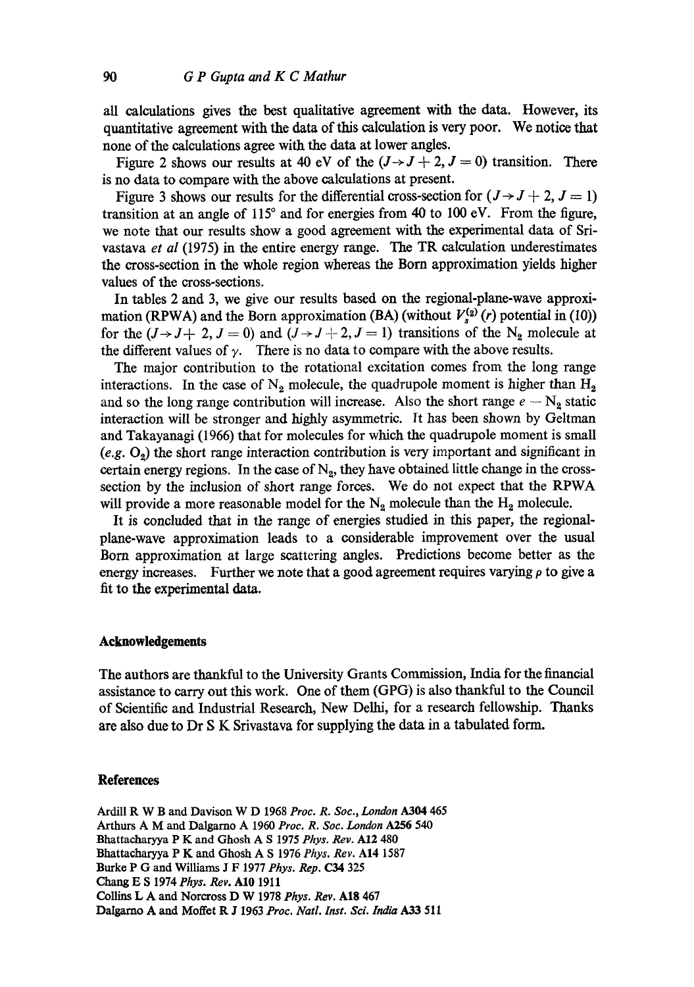all calculations gives the best qualitative agreement with the data. However, its quantitative agreement with the data of this calculation is very poor. We notice that none of the calculations agree with the data at lower angles.

Figure 2 shows our results at 40 eV of the  $(J \rightarrow J + 2, J = 0)$  transition. There is no data to compare with the above calculations at present.

Figure 3 shows our results for the differential cross-section for  $(J \rightarrow J + 2, J = 1)$ transition at an angle of 115° and for energies from 40 to 100 eV. From the figure, we note that our results show a good agreement with the experimental data of Srivastava *et al* (1975) in the entire energy range. The TR calculation underestimates the cross-section in the whole region whereas the Born approximation yields higher values of the cross-sections.

In tables 2 and 3, we give our results based on the regional-plane-wave approximation (RPWA) and the Born approximation (BA) (without  $V_s^{(2)}(r)$  potential in (10)) for the  $(J \rightarrow J + 2, J = 0)$  and  $(J \rightarrow J + 2, J = 1)$  transitions of the N<sub>2</sub> molecule at the different values of  $\gamma$ . There is no data to compare with the above results.

The major contribution to the rotational excitation comes from the long range interactions. In the case of  $N_2$  molecule, the quadrupole moment is higher than  $H_2$ and so the long range contribution will increase. Also the short range  $e - N_2$  static interaction will be stronger and highly asymmetric. It has been shown by Geltman and Takayanagi (1966) that for molecules for which the quadrupole moment is small (e.g.  $O<sub>2</sub>$ ) the short range interaction contribution is very important and significant in certain energy regions. In the case of  $N_2$ , they have obtained little change in the crosssection by the inclusion of short range forces. We do not expect that the RPWA will provide a more reasonable model for the  $N_2$  molecule than the  $H_2$  molecule.

It is concluded that in the range of energies studied in this paper, the regionalplane-wave approximation leads to a considerable improvement over the usual Born approximation at large scattering angles. Predictions become better as the energy increases. Further we note that a good agreement requires varying  $\rho$  to give a fit to the experimental data.

#### **Acknowledgements**

The authors are thankful to the University Grants Commission, India for the financial assistance to carry out this work. One of them (GPG) is also thankful to the Council of Scientific and Industrial Research, New Delhi, for a research fellowship. Thanks are also due to Dr S K Srivastava for supplying the data in a tabulated form.

## **References**

Ardill R W B and Davison W D 1968 *Proc. R. Soc., London A304* 465 Arthurs A M and Dalgarno A 1960 *Proc. R. Soc. London* A256 540 Bhattacharyya P K and Ghosh A S 1975 *Phys. Rev.* A12 480 Bhattacharyya P K and Ghosh A S 1976 *Phys. Rev.* A14 1587 Burke P G and Williams J F 1977 *Phys. Rep.* C34 325 *Chang E S 1974Phys. Rev.* A10 1911 Collins L A and Norcross D W 1978 *Phys. Rev.* A18 467 Dalgarno A and Moffet R J 1963 Proc. Natl. Inst. Sci. India A33 511